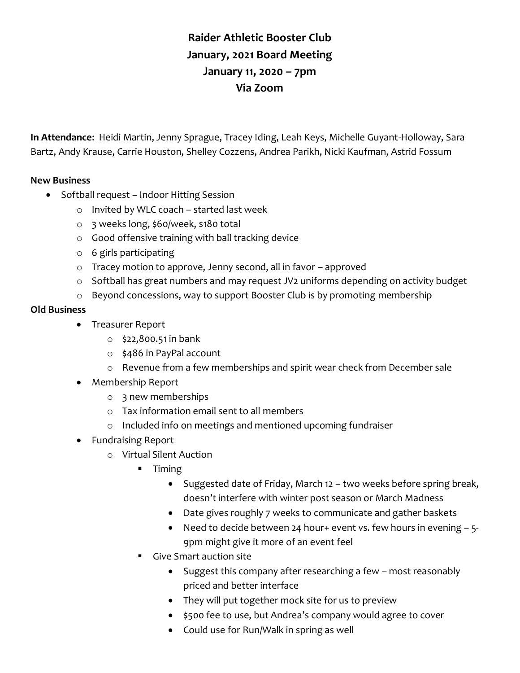## **Raider Athletic Booster Club January, 2021 Board Meeting January 11, 2020 – 7pm Via Zoom**

**In Attendance**: Heidi Martin, Jenny Sprague, Tracey Iding, Leah Keys, Michelle Guyant-Holloway, Sara Bartz, Andy Krause, Carrie Houston, Shelley Cozzens, Andrea Parikh, Nicki Kaufman, Astrid Fossum

## **New Business**

- Softball request Indoor Hitting Session
	- o Invited by WLC coach started last week
	- o 3 weeks long, \$60/week, \$180 total
	- o Good offensive training with ball tracking device
	- o 6 girls participating
	- o Tracey motion to approve, Jenny second, all in favor approved
	- $\circ$  Softball has great numbers and may request JV2 uniforms depending on activity budget
	- o Beyond concessions, way to support Booster Club is by promoting membership

## **Old Business**

- Treasurer Report
	- $\circ$  \$22,800.51 in bank
	- o \$486 in PayPal account
	- o Revenue from a few memberships and spirit wear check from December sale
- Membership Report
	- o 3 new memberships
	- o Tax information email sent to all members
	- o Included info on meetings and mentioned upcoming fundraiser
- Fundraising Report
	- o Virtual Silent Auction
		- $\blacksquare$  Timing
			- Suggested date of Friday, March 12 two weeks before spring break, doesn't interfere with winter post season or March Madness
			- Date gives roughly 7 weeks to communicate and gather baskets
			- Need to decide between 24 hour+ event vs. few hours in evening  $-5$ -9pm might give it more of an event feel
		- Give Smart auction site
			- Suggest this company after researching a few most reasonably priced and better interface
			- They will put together mock site for us to preview
			- \$500 fee to use, but Andrea's company would agree to cover
			- Could use for Run/Walk in spring as well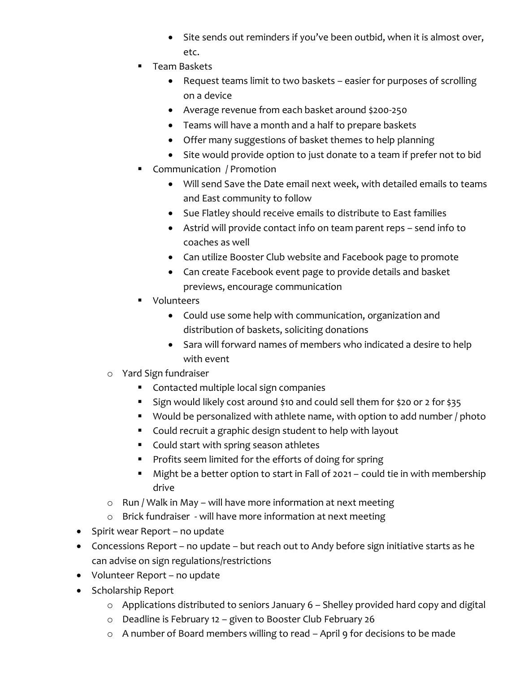- Site sends out reminders if you've been outbid, when it is almost over, etc.
- **Team Baskets** 
	- Request teams limit to two baskets easier for purposes of scrolling on a device
	- Average revenue from each basket around \$200-250
	- Teams will have a month and a half to prepare baskets
	- Offer many suggestions of basket themes to help planning
	- Site would provide option to just donate to a team if prefer not to bid
- **Communication / Promotion** 
	- Will send Save the Date email next week, with detailed emails to teams and East community to follow
	- Sue Flatley should receive emails to distribute to East families
	- Astrid will provide contact info on team parent reps send info to coaches as well
	- Can utilize Booster Club website and Facebook page to promote
	- Can create Facebook event page to provide details and basket previews, encourage communication
- **U** Volunteers
	- Could use some help with communication, organization and distribution of baskets, soliciting donations
	- Sara will forward names of members who indicated a desire to help with event
- o Yard Sign fundraiser
	- **Contacted multiple local sign companies**
	- Sign would likely cost around \$10 and could sell them for \$20 or 2 for \$35
	- Would be personalized with athlete name, with option to add number / photo
	- Could recruit a graphic design student to help with layout
	- **Could start with spring season athletes**
	- **Profits seem limited for the efforts of doing for spring**
	- Might be a better option to start in Fall of 2021 could tie in with membership drive
- $\circ$  Run / Walk in May will have more information at next meeting
- o Brick fundraiser will have more information at next meeting
- Spirit wear Report no update
- Concessions Report no update but reach out to Andy before sign initiative starts as he can advise on sign regulations/restrictions
- Volunteer Report no update
- Scholarship Report
	- o Applications distributed to seniors January 6 Shelley provided hard copy and digital
	- o Deadline is February 12 given to Booster Club February 26
	- o A number of Board members willing to read April 9 for decisions to be made